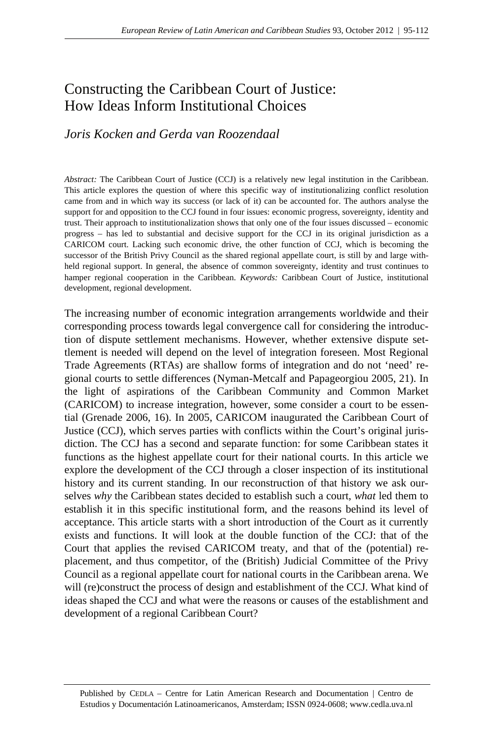# Constructing the Caribbean Court of Justice: How Ideas Inform Institutional Choices

## *Joris Kocken and Gerda van Roozendaal*

*Abstract:* The Caribbean Court of Justice (CCJ) is a relatively new legal institution in the Caribbean. This article explores the question of where this specific way of institutionalizing conflict resolution came from and in which way its success (or lack of it) can be accounted for. The authors analyse the support for and opposition to the CCJ found in four issues: economic progress, sovereignty, identity and trust. Their approach to institutionalization shows that only one of the four issues discussed – economic progress – has led to substantial and decisive support for the CCJ in its original jurisdiction as a CARICOM court. Lacking such economic drive, the other function of CCJ, which is becoming the successor of the British Privy Council as the shared regional appellate court, is still by and large withheld regional support. In general, the absence of common sovereignty, identity and trust continues to hamper regional cooperation in the Caribbean. *Keywords:* Caribbean Court of Justice, institutional development, regional development.

The increasing number of economic integration arrangements worldwide and their corresponding process towards legal convergence call for considering the introduction of dispute settlement mechanisms. However, whether extensive dispute settlement is needed will depend on the level of integration foreseen. Most Regional Trade Agreements (RTAs) are shallow forms of integration and do not 'need' regional courts to settle differences (Nyman-Metcalf and Papageorgiou 2005, 21). In the light of aspirations of the Caribbean Community and Common Market (CARICOM) to increase integration, however, some consider a court to be essential (Grenade 2006, 16). In 2005, CARICOM inaugurated the Caribbean Court of Justice (CCJ), which serves parties with conflicts within the Court's original jurisdiction. The CCJ has a second and separate function: for some Caribbean states it functions as the highest appellate court for their national courts. In this article we explore the development of the CCJ through a closer inspection of its institutional history and its current standing. In our reconstruction of that history we ask ourselves *why* the Caribbean states decided to establish such a court, *what* led them to establish it in this specific institutional form, and the reasons behind its level of acceptance. This article starts with a short introduction of the Court as it currently exists and functions. It will look at the double function of the CCJ: that of the Court that applies the revised CARICOM treaty, and that of the (potential) replacement, and thus competitor, of the (British) Judicial Committee of the Privy Council as a regional appellate court for national courts in the Caribbean arena. We will (re)construct the process of design and establishment of the CCJ. What kind of ideas shaped the CCJ and what were the reasons or causes of the establishment and development of a regional Caribbean Court?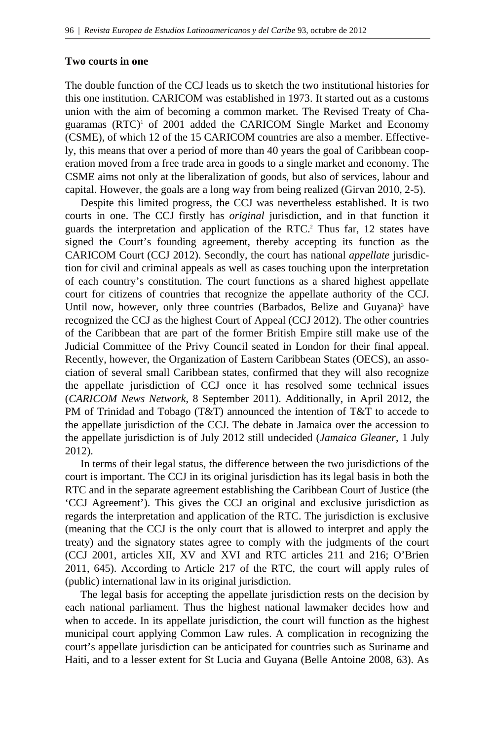## **Two courts in one**

The double function of the CCJ leads us to sketch the two institutional histories for this one institution. CARICOM was established in 1973. It started out as a customs union with the aim of becoming a common market. The Revised Treaty of Chaguaramas (RTC)<sup>1</sup> of 2001 added the CARICOM Single Market and Economy (CSME), of which 12 of the 15 CARICOM countries are also a member. Effectively, this means that over a period of more than 40 years the goal of Caribbean cooperation moved from a free trade area in goods to a single market and economy. The CSME aims not only at the liberalization of goods, but also of services, labour and capital. However, the goals are a long way from being realized (Girvan 2010, 2-5).

Despite this limited progress, the CCJ was nevertheless established. It is two courts in one. The CCJ firstly has *original* jurisdiction, and in that function it guards the interpretation and application of the RTC.<sup>2</sup> Thus far, 12 states have signed the Court's founding agreement, thereby accepting its function as the CARICOM Court (CCJ 2012). Secondly, the court has national *appellate* jurisdiction for civil and criminal appeals as well as cases touching upon the interpretation of each country's constitution. The court functions as a shared highest appellate court for citizens of countries that recognize the appellate authority of the CCJ. Until now, however, only three countries (Barbados, Belize and Guyana)<sup>3</sup> have recognized the CCJ as the highest Court of Appeal (CCJ 2012). The other countries of the Caribbean that are part of the former British Empire still make use of the Judicial Committee of the Privy Council seated in London for their final appeal. Recently, however, the Organization of Eastern Caribbean States (OECS), an association of several small Caribbean states, confirmed that they will also recognize the appellate jurisdiction of CCJ once it has resolved some technical issues (*CARICOM News Network*, 8 September 2011). Additionally, in April 2012, the PM of Trinidad and Tobago (T&T) announced the intention of T&T to accede to the appellate jurisdiction of the CCJ. The debate in Jamaica over the accession to the appellate jurisdiction is of July 2012 still undecided (*Jamaica Gleaner*, 1 July 2012).

 In terms of their legal status, the difference between the two jurisdictions of the court is important. The CCJ in its original jurisdiction has its legal basis in both the RTC and in the separate agreement establishing the Caribbean Court of Justice (the 'CCJ Agreement'). This gives the CCJ an original and exclusive jurisdiction as regards the interpretation and application of the RTC. The jurisdiction is exclusive (meaning that the CCJ is the only court that is allowed to interpret and apply the treaty) and the signatory states agree to comply with the judgments of the court (CCJ 2001, articles XII, XV and XVI and RTC articles 211 and 216; O'Brien 2011, 645). According to Article 217 of the RTC, the court will apply rules of (public) international law in its original jurisdiction.

 The legal basis for accepting the appellate jurisdiction rests on the decision by each national parliament. Thus the highest national lawmaker decides how and when to accede. In its appellate jurisdiction, the court will function as the highest municipal court applying Common Law rules. A complication in recognizing the court's appellate jurisdiction can be anticipated for countries such as Suriname and Haiti, and to a lesser extent for St Lucia and Guyana (Belle Antoine 2008, 63). As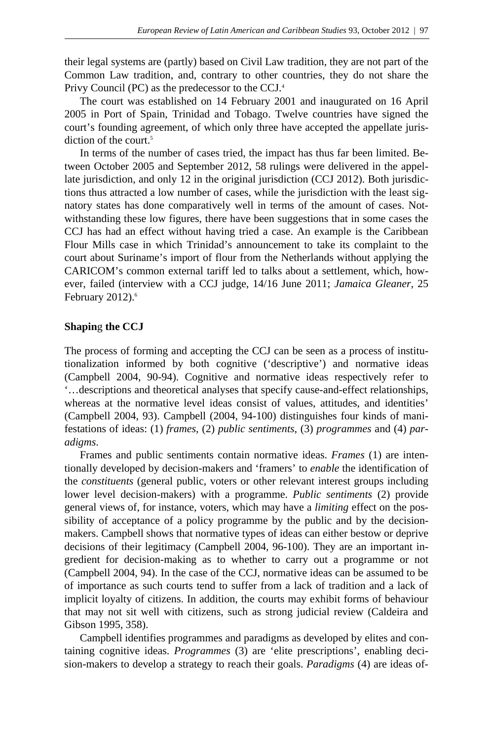their legal systems are (partly) based on Civil Law tradition, they are not part of the Common Law tradition, and, contrary to other countries, they do not share the Privy Council (PC) as the predecessor to the CCJ.4

 The court was established on 14 February 2001 and inaugurated on 16 April 2005 in Port of Spain, Trinidad and Tobago. Twelve countries have signed the court's founding agreement, of which only three have accepted the appellate jurisdiction of the court.<sup>5</sup>

 In terms of the number of cases tried, the impact has thus far been limited. Between October 2005 and September 2012, 58 rulings were delivered in the appellate jurisdiction, and only 12 in the original jurisdiction (CCJ 2012). Both jurisdictions thus attracted a low number of cases, while the jurisdiction with the least signatory states has done comparatively well in terms of the amount of cases. Notwithstanding these low figures, there have been suggestions that in some cases the CCJ has had an effect without having tried a case. An example is the Caribbean Flour Mills case in which Trinidad's announcement to take its complaint to the court about Suriname's import of flour from the Netherlands without applying the CARICOM's common external tariff led to talks about a settlement, which, however, failed (interview with a CCJ judge, 14/16 June 2011; *Jamaica Gleaner,* 25 February 2012).<sup>6</sup>

## **Shapin**g **the CCJ**

The process of forming and accepting the CCJ can be seen as a process of institutionalization informed by both cognitive ('descriptive') and normative ideas (Campbell 2004, 90-94). Cognitive and normative ideas respectively refer to '…descriptions and theoretical analyses that specify cause-and-effect relationships, whereas at the normative level ideas consist of values, attitudes, and identities' (Campbell 2004, 93). Campbell (2004, 94-100) distinguishes four kinds of manifestations of ideas: (1) *frames*, (2) *public sentiments*, (3) *programmes* and (4) *paradigms*.

 Frames and public sentiments contain normative ideas. *Frames* (1) are intentionally developed by decision-makers and 'framers' to *enable* the identification of the *constituents* (general public, voters or other relevant interest groups including lower level decision-makers) with a programme. *Public sentiments* (2) provide general views of, for instance, voters, which may have a *limiting* effect on the possibility of acceptance of a policy programme by the public and by the decisionmakers. Campbell shows that normative types of ideas can either bestow or deprive decisions of their legitimacy (Campbell 2004, 96-100). They are an important ingredient for decision-making as to whether to carry out a programme or not (Campbell 2004, 94). In the case of the CCJ, normative ideas can be assumed to be of importance as such courts tend to suffer from a lack of tradition and a lack of implicit loyalty of citizens. In addition, the courts may exhibit forms of behaviour that may not sit well with citizens, such as strong judicial review (Caldeira and Gibson 1995, 358).

 Campbell identifies programmes and paradigms as developed by elites and containing cognitive ideas. *Programmes* (3) are 'elite prescriptions', enabling decision-makers to develop a strategy to reach their goals. *Paradigms* (4) are ideas of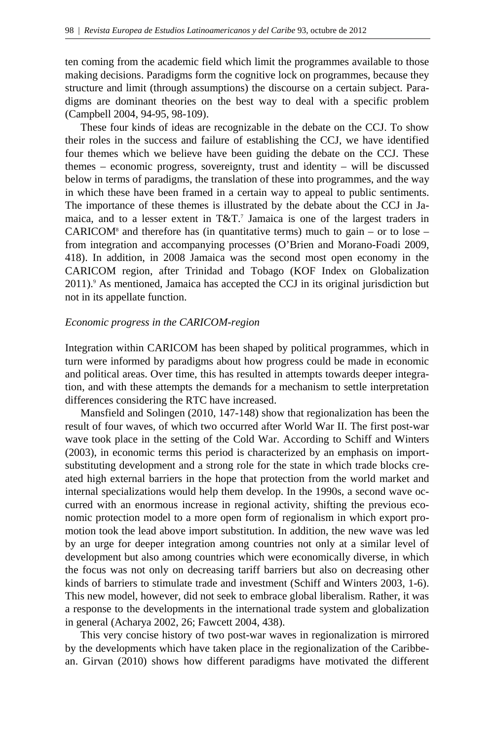ten coming from the academic field which limit the programmes available to those making decisions. Paradigms form the cognitive lock on programmes, because they structure and limit (through assumptions) the discourse on a certain subject. Paradigms are dominant theories on the best way to deal with a specific problem (Campbell 2004, 94-95, 98-109).

 These four kinds of ideas are recognizable in the debate on the CCJ. To show their roles in the success and failure of establishing the CCJ, we have identified four themes which we believe have been guiding the debate on the CCJ. These themes – economic progress, sovereignty, trust and identity – will be discussed below in terms of paradigms, the translation of these into programmes, and the way in which these have been framed in a certain way to appeal to public sentiments. The importance of these themes is illustrated by the debate about the CCJ in Jamaica, and to a lesser extent in  $T&T$ .<sup>7</sup> Jamaica is one of the largest traders in CARICOM<sup>8</sup> and therefore has (in quantitative terms) much to gain – or to lose – from integration and accompanying processes (O'Brien and Morano-Foadi 2009, 418). In addition, in 2008 Jamaica was the second most open economy in the CARICOM region, after Trinidad and Tobago (KOF Index on Globalization 2011).9 As mentioned, Jamaica has accepted the CCJ in its original jurisdiction but not in its appellate function.

#### *Economic progress in the CARICOM-region*

Integration within CARICOM has been shaped by political programmes, which in turn were informed by paradigms about how progress could be made in economic and political areas. Over time, this has resulted in attempts towards deeper integration, and with these attempts the demands for a mechanism to settle interpretation differences considering the RTC have increased.

 Mansfield and Solingen (2010, 147-148) show that regionalization has been the result of four waves, of which two occurred after World War II. The first post-war wave took place in the setting of the Cold War. According to Schiff and Winters (2003), in economic terms this period is characterized by an emphasis on importsubstituting development and a strong role for the state in which trade blocks created high external barriers in the hope that protection from the world market and internal specializations would help them develop. In the 1990s, a second wave occurred with an enormous increase in regional activity, shifting the previous economic protection model to a more open form of regionalism in which export promotion took the lead above import substitution. In addition, the new wave was led by an urge for deeper integration among countries not only at a similar level of development but also among countries which were economically diverse, in which the focus was not only on decreasing tariff barriers but also on decreasing other kinds of barriers to stimulate trade and investment (Schiff and Winters 2003, 1-6). This new model, however, did not seek to embrace global liberalism. Rather, it was a response to the developments in the international trade system and globalization in general (Acharya 2002, 26; Fawcett 2004, 438).

 This very concise history of two post-war waves in regionalization is mirrored by the developments which have taken place in the regionalization of the Caribbean. Girvan (2010) shows how different paradigms have motivated the different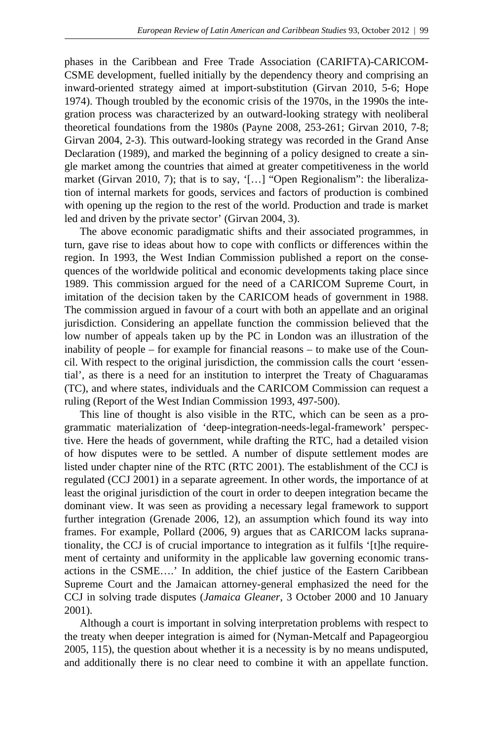phases in the Caribbean and Free Trade Association (CARIFTA)-CARICOM-CSME development, fuelled initially by the dependency theory and comprising an inward-oriented strategy aimed at import-substitution (Girvan 2010, 5-6; Hope 1974). Though troubled by the economic crisis of the 1970s, in the 1990s the integration process was characterized by an outward-looking strategy with neoliberal theoretical foundations from the 1980s (Payne 2008, 253-261; Girvan 2010, 7-8; Girvan 2004, 2-3). This outward-looking strategy was recorded in the Grand Anse Declaration (1989), and marked the beginning of a policy designed to create a single market among the countries that aimed at greater competitiveness in the world market (Girvan 2010, 7); that is to say, '[...] "Open Regionalism": the liberalization of internal markets for goods, services and factors of production is combined with opening up the region to the rest of the world. Production and trade is market led and driven by the private sector' (Girvan 2004, 3).

 The above economic paradigmatic shifts and their associated programmes, in turn, gave rise to ideas about how to cope with conflicts or differences within the region. In 1993, the West Indian Commission published a report on the consequences of the worldwide political and economic developments taking place since 1989. This commission argued for the need of a CARICOM Supreme Court, in imitation of the decision taken by the CARICOM heads of government in 1988. The commission argued in favour of a court with both an appellate and an original jurisdiction. Considering an appellate function the commission believed that the low number of appeals taken up by the PC in London was an illustration of the inability of people – for example for financial reasons – to make use of the Council. With respect to the original jurisdiction, the commission calls the court 'essential', as there is a need for an institution to interpret the Treaty of Chaguaramas (TC), and where states, individuals and the CARICOM Commission can request a ruling (Report of the West Indian Commission 1993, 497-500).

 This line of thought is also visible in the RTC, which can be seen as a programmatic materialization of 'deep-integration-needs-legal-framework' perspective. Here the heads of government, while drafting the RTC, had a detailed vision of how disputes were to be settled. A number of dispute settlement modes are listed under chapter nine of the RTC (RTC 2001). The establishment of the CCJ is regulated (CCJ 2001) in a separate agreement. In other words, the importance of at least the original jurisdiction of the court in order to deepen integration became the dominant view. It was seen as providing a necessary legal framework to support further integration (Grenade 2006, 12), an assumption which found its way into frames. For example, Pollard (2006, 9) argues that as CARICOM lacks supranationality, the CCJ is of crucial importance to integration as it fulfils '[t]he requirement of certainty and uniformity in the applicable law governing economic transactions in the CSME….' In addition, the chief justice of the Eastern Caribbean Supreme Court and the Jamaican attorney-general emphasized the need for the CCJ in solving trade disputes (*Jamaica Gleaner*, 3 October 2000 and 10 January 2001).

 Although a court is important in solving interpretation problems with respect to the treaty when deeper integration is aimed for (Nyman-Metcalf and Papageorgiou 2005, 115), the question about whether it is a necessity is by no means undisputed, and additionally there is no clear need to combine it with an appellate function.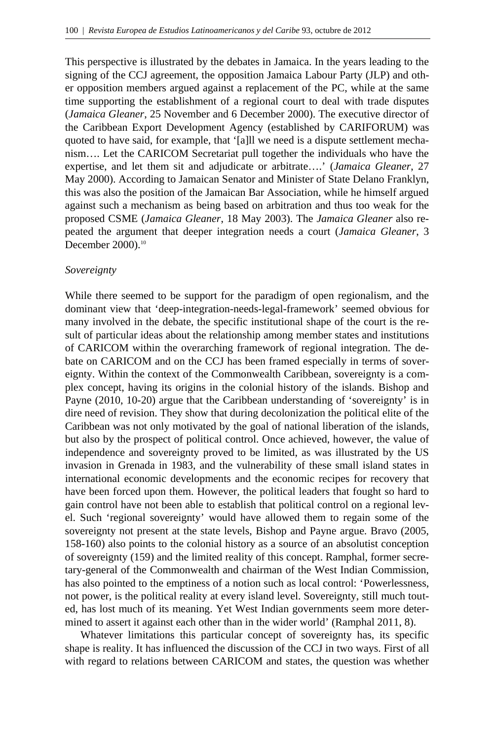This perspective is illustrated by the debates in Jamaica. In the years leading to the signing of the CCJ agreement, the opposition Jamaica Labour Party (JLP) and other opposition members argued against a replacement of the PC, while at the same time supporting the establishment of a regional court to deal with trade disputes (*Jamaica Gleaner*, 25 November and 6 December 2000). The executive director of the Caribbean Export Development Agency (established by CARIFORUM) was quoted to have said, for example, that '[a]ll we need is a dispute settlement mechanism…. Let the CARICOM Secretariat pull together the individuals who have the expertise, and let them sit and adjudicate or arbitrate….' (*Jamaica Gleaner*, 27 May 2000). According to Jamaican Senator and Minister of State Delano Franklyn, this was also the position of the Jamaican Bar Association, while he himself argued against such a mechanism as being based on arbitration and thus too weak for the proposed CSME (*Jamaica Gleaner*, 18 May 2003). The *Jamaica Gleaner* also repeated the argument that deeper integration needs a court (*Jamaica Gleaner*, 3 December 2000).10

## *Sovereignty*

While there seemed to be support for the paradigm of open regionalism, and the dominant view that 'deep-integration-needs-legal-framework' seemed obvious for many involved in the debate, the specific institutional shape of the court is the result of particular ideas about the relationship among member states and institutions of CARICOM within the overarching framework of regional integration. The debate on CARICOM and on the CCJ has been framed especially in terms of sovereignty. Within the context of the Commonwealth Caribbean, sovereignty is a complex concept, having its origins in the colonial history of the islands. Bishop and Payne (2010, 10-20) argue that the Caribbean understanding of 'sovereignty' is in dire need of revision. They show that during decolonization the political elite of the Caribbean was not only motivated by the goal of national liberation of the islands, but also by the prospect of political control. Once achieved, however, the value of independence and sovereignty proved to be limited, as was illustrated by the US invasion in Grenada in 1983, and the vulnerability of these small island states in international economic developments and the economic recipes for recovery that have been forced upon them. However, the political leaders that fought so hard to gain control have not been able to establish that political control on a regional level. Such 'regional sovereignty' would have allowed them to regain some of the sovereignty not present at the state levels, Bishop and Payne argue. Bravo (2005, 158-160) also points to the colonial history as a source of an absolutist conception of sovereignty (159) and the limited reality of this concept. Ramphal, former secretary-general of the Commonwealth and chairman of the West Indian Commission, has also pointed to the emptiness of a notion such as local control: 'Powerlessness, not power, is the political reality at every island level. Sovereignty, still much touted, has lost much of its meaning. Yet West Indian governments seem more determined to assert it against each other than in the wider world' (Ramphal 2011, 8).

 Whatever limitations this particular concept of sovereignty has, its specific shape is reality. It has influenced the discussion of the CCJ in two ways. First of all with regard to relations between CARICOM and states, the question was whether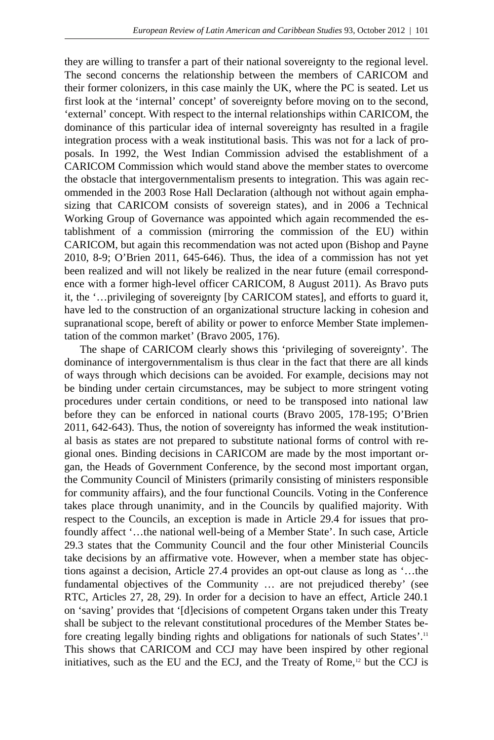they are willing to transfer a part of their national sovereignty to the regional level. The second concerns the relationship between the members of CARICOM and their former colonizers, in this case mainly the UK, where the PC is seated. Let us first look at the 'internal' concept' of sovereignty before moving on to the second, 'external' concept. With respect to the internal relationships within CARICOM, the dominance of this particular idea of internal sovereignty has resulted in a fragile integration process with a weak institutional basis. This was not for a lack of proposals. In 1992, the West Indian Commission advised the establishment of a CARICOM Commission which would stand above the member states to overcome the obstacle that intergovernmentalism presents to integration. This was again recommended in the 2003 Rose Hall Declaration (although not without again emphasizing that CARICOM consists of sovereign states), and in 2006 a Technical Working Group of Governance was appointed which again recommended the establishment of a commission (mirroring the commission of the EU) within CARICOM, but again this recommendation was not acted upon (Bishop and Payne 2010, 8-9; O'Brien 2011, 645-646). Thus, the idea of a commission has not yet been realized and will not likely be realized in the near future (email correspondence with a former high-level officer CARICOM, 8 August 2011). As Bravo puts it, the '…privileging of sovereignty [by CARICOM states], and efforts to guard it, have led to the construction of an organizational structure lacking in cohesion and supranational scope, bereft of ability or power to enforce Member State implementation of the common market' (Bravo 2005, 176).

 The shape of CARICOM clearly shows this 'privileging of sovereignty'. The dominance of intergovernmentalism is thus clear in the fact that there are all kinds of ways through which decisions can be avoided. For example, decisions may not be binding under certain circumstances, may be subject to more stringent voting procedures under certain conditions, or need to be transposed into national law before they can be enforced in national courts (Bravo 2005, 178-195; O'Brien 2011, 642-643). Thus, the notion of sovereignty has informed the weak institutional basis as states are not prepared to substitute national forms of control with regional ones. Binding decisions in CARICOM are made by the most important organ, the Heads of Government Conference, by the second most important organ, the Community Council of Ministers (primarily consisting of ministers responsible for community affairs), and the four functional Councils. Voting in the Conference takes place through unanimity, and in the Councils by qualified majority. With respect to the Councils, an exception is made in Article 29.4 for issues that profoundly affect '…the national well-being of a Member State'. In such case, Article 29.3 states that the Community Council and the four other Ministerial Councils take decisions by an affirmative vote. However, when a member state has objections against a decision, Article 27.4 provides an opt-out clause as long as '…the fundamental objectives of the Community … are not prejudiced thereby' (see RTC, Articles 27, 28, 29). In order for a decision to have an effect, Article 240.1 on 'saving' provides that '[d]ecisions of competent Organs taken under this Treaty shall be subject to the relevant constitutional procedures of the Member States before creating legally binding rights and obligations for nationals of such States'.<sup>11</sup> This shows that CARICOM and CCJ may have been inspired by other regional initiatives, such as the EU and the ECJ, and the Treaty of Rome,<sup>12</sup> but the CCJ is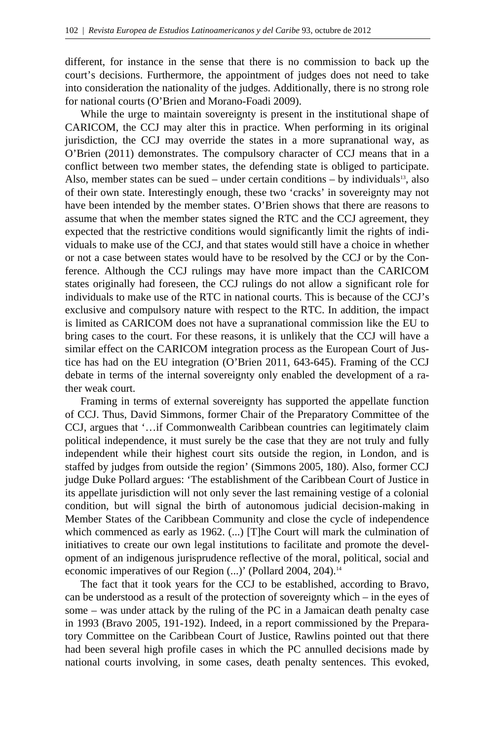different, for instance in the sense that there is no commission to back up the court's decisions. Furthermore, the appointment of judges does not need to take into consideration the nationality of the judges. Additionally, there is no strong role for national courts (O'Brien and Morano-Foadi 2009).

 While the urge to maintain sovereignty is present in the institutional shape of CARICOM, the CCJ may alter this in practice. When performing in its original jurisdiction, the CCJ may override the states in a more supranational way, as O'Brien (2011) demonstrates. The compulsory character of CCJ means that in a conflict between two member states, the defending state is obliged to participate. Also, member states can be sued – under certain conditions – by individuals<sup>13</sup>, also of their own state. Interestingly enough, these two 'cracks' in sovereignty may not have been intended by the member states. O'Brien shows that there are reasons to assume that when the member states signed the RTC and the CCJ agreement, they expected that the restrictive conditions would significantly limit the rights of individuals to make use of the CCJ, and that states would still have a choice in whether or not a case between states would have to be resolved by the CCJ or by the Conference. Although the CCJ rulings may have more impact than the CARICOM states originally had foreseen, the CCJ rulings do not allow a significant role for individuals to make use of the RTC in national courts. This is because of the CCJ's exclusive and compulsory nature with respect to the RTC. In addition, the impact is limited as CARICOM does not have a supranational commission like the EU to bring cases to the court. For these reasons, it is unlikely that the CCJ will have a similar effect on the CARICOM integration process as the European Court of Justice has had on the EU integration (O'Brien 2011, 643-645). Framing of the CCJ debate in terms of the internal sovereignty only enabled the development of a rather weak court.

 Framing in terms of external sovereignty has supported the appellate function of CCJ. Thus, David Simmons, former Chair of the Preparatory Committee of the CCJ, argues that '…if Commonwealth Caribbean countries can legitimately claim political independence, it must surely be the case that they are not truly and fully independent while their highest court sits outside the region, in London, and is staffed by judges from outside the region' (Simmons 2005, 180). Also, former CCJ judge Duke Pollard argues: 'The establishment of the Caribbean Court of Justice in its appellate jurisdiction will not only sever the last remaining vestige of a colonial condition, but will signal the birth of autonomous judicial decision-making in Member States of the Caribbean Community and close the cycle of independence which commenced as early as 1962. (...) [T]he Court will mark the culmination of initiatives to create our own legal institutions to facilitate and promote the development of an indigenous jurisprudence reflective of the moral, political, social and economic imperatives of our Region (...)' (Pollard 2004, 204).<sup>14</sup>

 The fact that it took years for the CCJ to be established, according to Bravo, can be understood as a result of the protection of sovereignty which – in the eyes of some – was under attack by the ruling of the PC in a Jamaican death penalty case in 1993 (Bravo 2005, 191-192). Indeed, in a report commissioned by the Preparatory Committee on the Caribbean Court of Justice, Rawlins pointed out that there had been several high profile cases in which the PC annulled decisions made by national courts involving, in some cases, death penalty sentences. This evoked,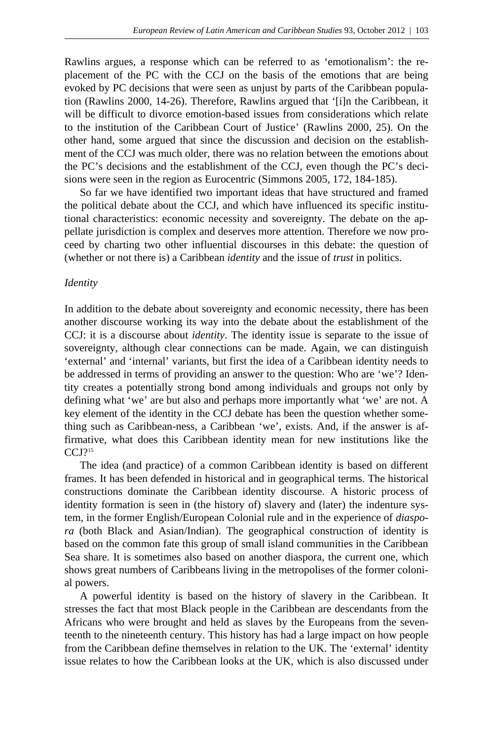Rawlins argues, a response which can be referred to as 'emotionalism': the replacement of the PC with the CCJ on the basis of the emotions that are being evoked by PC decisions that were seen as unjust by parts of the Caribbean population (Rawlins 2000, 14-26). Therefore, Rawlins argued that '[i]n the Caribbean, it will be difficult to divorce emotion-based issues from considerations which relate to the institution of the Caribbean Court of Justice' (Rawlins 2000, 25). On the other hand, some argued that since the discussion and decision on the establishment of the CCJ was much older, there was no relation between the emotions about the PC's decisions and the establishment of the CCJ, even though the PC's decisions were seen in the region as Eurocentric (Simmons 2005, 172, 184-185).

 So far we have identified two important ideas that have structured and framed the political debate about the CCJ, and which have influenced its specific institutional characteristics: economic necessity and sovereignty. The debate on the appellate jurisdiction is complex and deserves more attention. Therefore we now proceed by charting two other influential discourses in this debate: the question of (whether or not there is) a Caribbean *identity* and the issue of *trust* in politics.

#### *Identity*

In addition to the debate about sovereignty and economic necessity, there has been another discourse working its way into the debate about the establishment of the CCJ: it is a discourse about *identity*. The identity issue is separate to the issue of sovereignty, although clear connections can be made. Again, we can distinguish 'external' and 'internal' variants, but first the idea of a Caribbean identity needs to be addressed in terms of providing an answer to the question: Who are 'we'? Identity creates a potentially strong bond among individuals and groups not only by defining what 'we' are but also and perhaps more importantly what 'we' are not. A key element of the identity in the CCJ debate has been the question whether something such as Caribbean-ness, a Caribbean 'we', exists. And, if the answer is affirmative, what does this Caribbean identity mean for new institutions like the  $CCJ$ ?<sup>15</sup>

 The idea (and practice) of a common Caribbean identity is based on different frames. It has been defended in historical and in geographical terms. The historical constructions dominate the Caribbean identity discourse. A historic process of identity formation is seen in (the history of) slavery and (later) the indenture system, in the former English/European Colonial rule and in the experience of *diaspora* (both Black and Asian/Indian). The geographical construction of identity is based on the common fate this group of small island communities in the Caribbean Sea share. It is sometimes also based on another diaspora, the current one, which shows great numbers of Caribbeans living in the metropolises of the former colonial powers.

 A powerful identity is based on the history of slavery in the Caribbean. It stresses the fact that most Black people in the Caribbean are descendants from the Africans who were brought and held as slaves by the Europeans from the seventeenth to the nineteenth century. This history has had a large impact on how people from the Caribbean define themselves in relation to the UK. The 'external' identity issue relates to how the Caribbean looks at the UK, which is also discussed under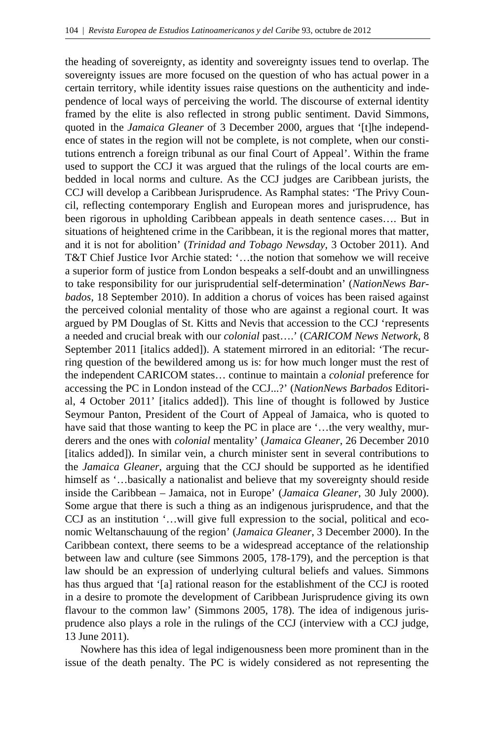the heading of sovereignty, as identity and sovereignty issues tend to overlap. The sovereignty issues are more focused on the question of who has actual power in a certain territory, while identity issues raise questions on the authenticity and independence of local ways of perceiving the world. The discourse of external identity framed by the elite is also reflected in strong public sentiment. David Simmons, quoted in the *Jamaica Gleaner* of 3 December 2000, argues that '[t]he independence of states in the region will not be complete, is not complete, when our constitutions entrench a foreign tribunal as our final Court of Appeal'. Within the frame used to support the CCJ it was argued that the rulings of the local courts are embedded in local norms and culture. As the CCJ judges are Caribbean jurists, the CCJ will develop a Caribbean Jurisprudence. As Ramphal states: 'The Privy Council, reflecting contemporary English and European mores and jurisprudence, has been rigorous in upholding Caribbean appeals in death sentence cases…. But in situations of heightened crime in the Caribbean, it is the regional mores that matter, and it is not for abolition' (*Trinidad and Tobago Newsday*, 3 October 2011). And T&T Chief Justice Ivor Archie stated: '…the notion that somehow we will receive a superior form of justice from London bespeaks a self-doubt and an unwillingness to take responsibility for our jurisprudential self-determination' (*NationNews Barbados*, 18 September 2010). In addition a chorus of voices has been raised against the perceived colonial mentality of those who are against a regional court. It was argued by PM Douglas of St. Kitts and Nevis that accession to the CCJ 'represents a needed and crucial break with our *colonial* past….' (*CARICOM News Network*, 8 September 2011 [italics added]). A statement mirrored in an editorial: 'The recurring question of the bewildered among us is: for how much longer must the rest of the independent CARICOM states… continue to maintain a *colonial* preference for accessing the PC in London instead of the CCJ...?' (*NationNews Barbados* Editorial, 4 October 2011' [italics added]). This line of thought is followed by Justice Seymour Panton, President of the Court of Appeal of Jamaica, who is quoted to have said that those wanting to keep the PC in place are '...the very wealthy, murderers and the ones with *colonial* mentality' (*Jamaica Gleaner*, 26 December 2010 [italics added]). In similar vein, a church minister sent in several contributions to the *Jamaica Gleaner*, arguing that the CCJ should be supported as he identified himself as '...basically a nationalist and believe that my sovereignty should reside inside the Caribbean – Jamaica, not in Europe' (*Jamaica Gleaner*, 30 July 2000). Some argue that there is such a thing as an indigenous jurisprudence, and that the CCJ as an institution '…will give full expression to the social, political and economic Weltanschauung of the region' (*Jamaica Gleaner*, 3 December 2000). In the Caribbean context, there seems to be a widespread acceptance of the relationship between law and culture (see Simmons 2005, 178-179), and the perception is that law should be an expression of underlying cultural beliefs and values. Simmons has thus argued that '[a] rational reason for the establishment of the CCJ is rooted in a desire to promote the development of Caribbean Jurisprudence giving its own flavour to the common law' (Simmons 2005, 178). The idea of indigenous jurisprudence also plays a role in the rulings of the CCJ (interview with a CCJ judge, 13 June 2011).

 Nowhere has this idea of legal indigenousness been more prominent than in the issue of the death penalty. The PC is widely considered as not representing the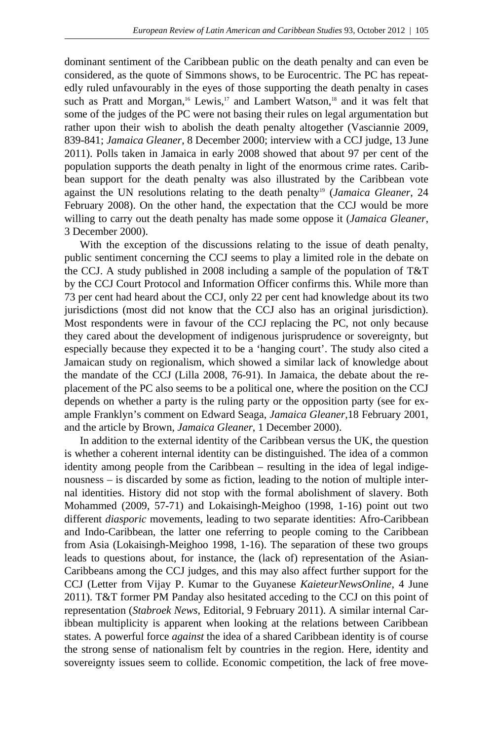dominant sentiment of the Caribbean public on the death penalty and can even be considered, as the quote of Simmons shows, to be Eurocentric. The PC has repeatedly ruled unfavourably in the eyes of those supporting the death penalty in cases such as Pratt and Morgan,<sup>16</sup> Lewis,<sup>17</sup> and Lambert Watson,<sup>18</sup> and it was felt that some of the judges of the PC were not basing their rules on legal argumentation but rather upon their wish to abolish the death penalty altogether (Vasciannie 2009, 839-841; *Jamaica Gleaner*, 8 December 2000; interview with a CCJ judge, 13 June 2011). Polls taken in Jamaica in early 2008 showed that about 97 per cent of the population supports the death penalty in light of the enormous crime rates. Caribbean support for the death penalty was also illustrated by the Caribbean vote against the UN resolutions relating to the death penalty<sup>19</sup> (*Jamaica Gleaner*, 24 February 2008). On the other hand, the expectation that the CCJ would be more willing to carry out the death penalty has made some oppose it (*Jamaica Gleaner*, 3 December 2000).

 With the exception of the discussions relating to the issue of death penalty, public sentiment concerning the CCJ seems to play a limited role in the debate on the CCJ. A study published in 2008 including a sample of the population of T&T by the CCJ Court Protocol and Information Officer confirms this. While more than 73 per cent had heard about the CCJ, only 22 per cent had knowledge about its two jurisdictions (most did not know that the CCJ also has an original jurisdiction). Most respondents were in favour of the CCJ replacing the PC, not only because they cared about the development of indigenous jurisprudence or sovereignty, but especially because they expected it to be a 'hanging court'. The study also cited a Jamaican study on regionalism, which showed a similar lack of knowledge about the mandate of the CCJ (Lilla 2008, 76-91). In Jamaica, the debate about the replacement of the PC also seems to be a political one, where the position on the CCJ depends on whether a party is the ruling party or the opposition party (see for example Franklyn's comment on Edward Seaga, *Jamaica Gleaner*,18 February 2001, and the article by Brown, *Jamaica Gleaner*, 1 December 2000).

 In addition to the external identity of the Caribbean versus the UK, the question is whether a coherent internal identity can be distinguished. The idea of a common identity among people from the Caribbean – resulting in the idea of legal indigenousness – is discarded by some as fiction, leading to the notion of multiple internal identities. History did not stop with the formal abolishment of slavery. Both Mohammed (2009, 57-71) and Lokaisingh-Meighoo (1998, 1-16) point out two different *diasporic* movements, leading to two separate identities: Afro-Caribbean and Indo-Caribbean, the latter one referring to people coming to the Caribbean from Asia (Lokaisingh-Meighoo 1998, 1-16). The separation of these two groups leads to questions about, for instance, the (lack of) representation of the Asian-Caribbeans among the CCJ judges, and this may also affect further support for the CCJ (Letter from Vijay P. Kumar to the Guyanese *KaieteurNewsOnline*, 4 June 2011). T&T former PM Panday also hesitated acceding to the CCJ on this point of representation (*Stabroek News,* Editorial, 9 February 2011). A similar internal Caribbean multiplicity is apparent when looking at the relations between Caribbean states. A powerful force *against* the idea of a shared Caribbean identity is of course the strong sense of nationalism felt by countries in the region. Here, identity and sovereignty issues seem to collide. Economic competition, the lack of free move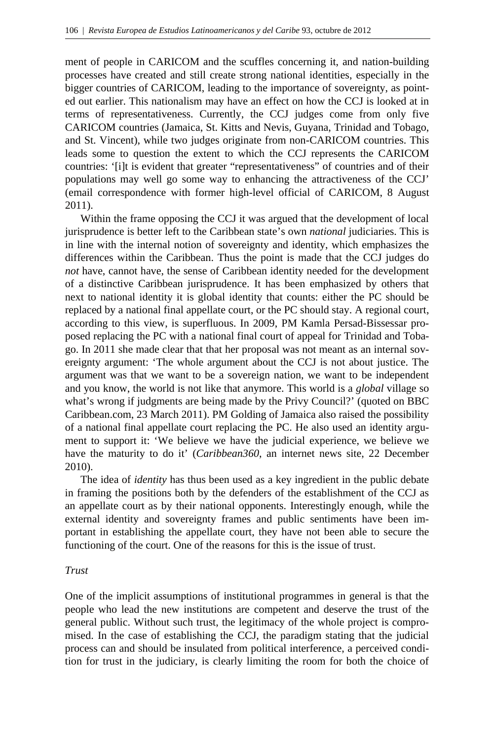ment of people in CARICOM and the scuffles concerning it, and nation-building processes have created and still create strong national identities, especially in the bigger countries of CARICOM, leading to the importance of sovereignty, as pointed out earlier. This nationalism may have an effect on how the CCJ is looked at in terms of representativeness. Currently, the CCJ judges come from only five CARICOM countries (Jamaica, St. Kitts and Nevis, Guyana, Trinidad and Tobago, and St. Vincent), while two judges originate from non-CARICOM countries. This leads some to question the extent to which the CCJ represents the CARICOM countries: '[i]t is evident that greater "representativeness" of countries and of their populations may well go some way to enhancing the attractiveness of the CCJ' (email correspondence with former high-level official of CARICOM, 8 August 2011).

 Within the frame opposing the CCJ it was argued that the development of local jurisprudence is better left to the Caribbean state's own *national* judiciaries. This is in line with the internal notion of sovereignty and identity, which emphasizes the differences within the Caribbean. Thus the point is made that the CCJ judges do *not* have, cannot have, the sense of Caribbean identity needed for the development of a distinctive Caribbean jurisprudence. It has been emphasized by others that next to national identity it is global identity that counts: either the PC should be replaced by a national final appellate court, or the PC should stay. A regional court, according to this view, is superfluous. In 2009, PM Kamla Persad-Bissessar proposed replacing the PC with a national final court of appeal for Trinidad and Tobago. In 2011 she made clear that that her proposal was not meant as an internal sovereignty argument: 'The whole argument about the CCJ is not about justice. The argument was that we want to be a sovereign nation, we want to be independent and you know, the world is not like that anymore. This world is a *global* village so what's wrong if judgments are being made by the Privy Council?' (quoted on BBC Caribbean.com, 23 March 2011). PM Golding of Jamaica also raised the possibility of a national final appellate court replacing the PC. He also used an identity argument to support it: 'We believe we have the judicial experience, we believe we have the maturity to do it' (*Caribbean360*, an internet news site, 22 December 2010).

 The idea of *identity* has thus been used as a key ingredient in the public debate in framing the positions both by the defenders of the establishment of the CCJ as an appellate court as by their national opponents. Interestingly enough, while the external identity and sovereignty frames and public sentiments have been important in establishing the appellate court, they have not been able to secure the functioning of the court. One of the reasons for this is the issue of trust.

## *Trust*

One of the implicit assumptions of institutional programmes in general is that the people who lead the new institutions are competent and deserve the trust of the general public. Without such trust, the legitimacy of the whole project is compromised. In the case of establishing the CCJ, the paradigm stating that the judicial process can and should be insulated from political interference, a perceived condition for trust in the judiciary, is clearly limiting the room for both the choice of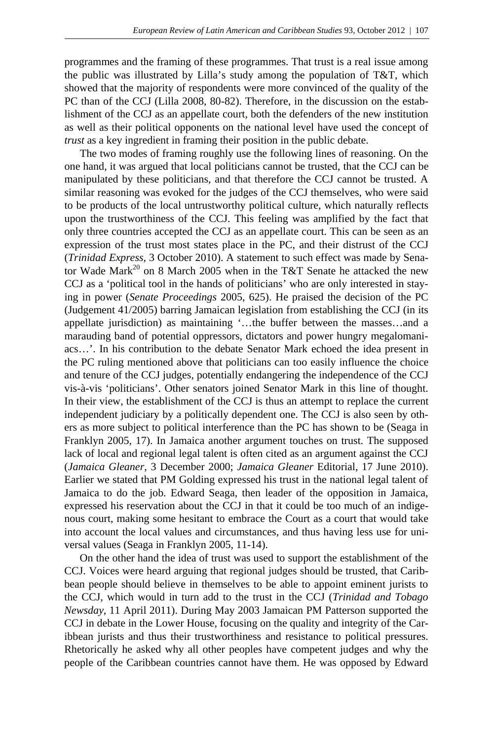programmes and the framing of these programmes. That trust is a real issue among the public was illustrated by Lilla's study among the population of T&T, which showed that the majority of respondents were more convinced of the quality of the PC than of the CCJ (Lilla 2008, 80-82). Therefore, in the discussion on the establishment of the CCJ as an appellate court, both the defenders of the new institution as well as their political opponents on the national level have used the concept of *trust* as a key ingredient in framing their position in the public debate.

 The two modes of framing roughly use the following lines of reasoning. On the one hand, it was argued that local politicians cannot be trusted, that the CCJ can be manipulated by these politicians, and that therefore the CCJ cannot be trusted. A similar reasoning was evoked for the judges of the CCJ themselves, who were said to be products of the local untrustworthy political culture, which naturally reflects upon the trustworthiness of the CCJ. This feeling was amplified by the fact that only three countries accepted the CCJ as an appellate court. This can be seen as an expression of the trust most states place in the PC, and their distrust of the CCJ (*Trinidad Express*, 3 October 2010). A statement to such effect was made by Senator Wade Mark<sup>20</sup> on 8 March 2005 when in the T&T Senate he attacked the new CCJ as a 'political tool in the hands of politicians' who are only interested in staying in power (*Senate Proceedings* 2005, 625). He praised the decision of the PC (Judgement 41/2005) barring Jamaican legislation from establishing the CCJ (in its appellate jurisdiction) as maintaining '…the buffer between the masses…and a marauding band of potential oppressors, dictators and power hungry megalomaniacs…'. In his contribution to the debate Senator Mark echoed the idea present in the PC ruling mentioned above that politicians can too easily influence the choice and tenure of the CCJ judges, potentially endangering the independence of the CCJ vis-à-vis 'politicians'. Other senators joined Senator Mark in this line of thought. In their view, the establishment of the CCJ is thus an attempt to replace the current independent judiciary by a politically dependent one. The CCJ is also seen by others as more subject to political interference than the PC has shown to be (Seaga in Franklyn 2005, 17). In Jamaica another argument touches on trust. The supposed lack of local and regional legal talent is often cited as an argument against the CCJ (*Jamaica Gleaner*, 3 December 2000; *Jamaica Gleaner* Editorial, 17 June 2010). Earlier we stated that PM Golding expressed his trust in the national legal talent of Jamaica to do the job. Edward Seaga, then leader of the opposition in Jamaica, expressed his reservation about the CCJ in that it could be too much of an indigenous court, making some hesitant to embrace the Court as a court that would take into account the local values and circumstances, and thus having less use for universal values (Seaga in Franklyn 2005, 11-14).

 On the other hand the idea of trust was used to support the establishment of the CCJ. Voices were heard arguing that regional judges should be trusted, that Caribbean people should believe in themselves to be able to appoint eminent jurists to the CCJ, which would in turn add to the trust in the CCJ (*Trinidad and Tobago Newsday*, 11 April 2011). During May 2003 Jamaican PM Patterson supported the CCJ in debate in the Lower House, focusing on the quality and integrity of the Caribbean jurists and thus their trustworthiness and resistance to political pressures. Rhetorically he asked why all other peoples have competent judges and why the people of the Caribbean countries cannot have them. He was opposed by Edward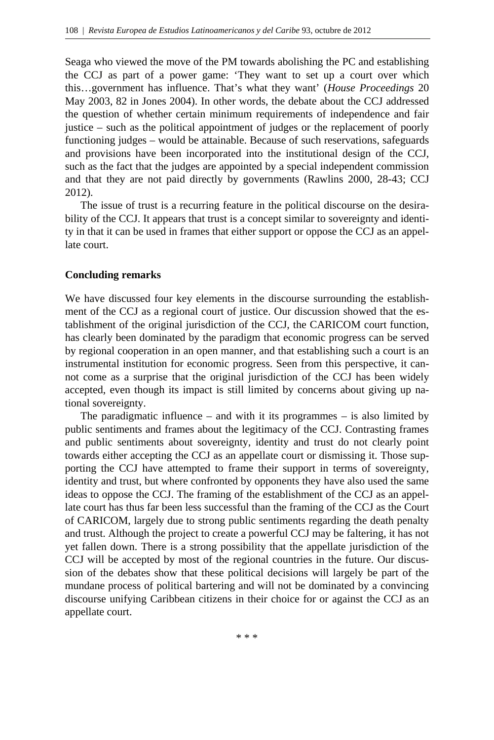Seaga who viewed the move of the PM towards abolishing the PC and establishing the CCJ as part of a power game: 'They want to set up a court over which this…government has influence. That's what they want' (*House Proceedings* 20 May 2003, 82 in Jones 2004). In other words, the debate about the CCJ addressed the question of whether certain minimum requirements of independence and fair justice – such as the political appointment of judges or the replacement of poorly functioning judges – would be attainable. Because of such reservations, safeguards and provisions have been incorporated into the institutional design of the CCJ, such as the fact that the judges are appointed by a special independent commission and that they are not paid directly by governments (Rawlins 2000, 28-43; CCJ 2012).

 The issue of trust is a recurring feature in the political discourse on the desirability of the CCJ. It appears that trust is a concept similar to sovereignty and identity in that it can be used in frames that either support or oppose the CCJ as an appellate court.

## **Concluding remarks**

We have discussed four key elements in the discourse surrounding the establishment of the CCJ as a regional court of justice. Our discussion showed that the establishment of the original jurisdiction of the CCJ, the CARICOM court function, has clearly been dominated by the paradigm that economic progress can be served by regional cooperation in an open manner, and that establishing such a court is an instrumental institution for economic progress. Seen from this perspective, it cannot come as a surprise that the original jurisdiction of the CCJ has been widely accepted, even though its impact is still limited by concerns about giving up national sovereignty.

 The paradigmatic influence – and with it its programmes – is also limited by public sentiments and frames about the legitimacy of the CCJ. Contrasting frames and public sentiments about sovereignty, identity and trust do not clearly point towards either accepting the CCJ as an appellate court or dismissing it. Those supporting the CCJ have attempted to frame their support in terms of sovereignty, identity and trust, but where confronted by opponents they have also used the same ideas to oppose the CCJ. The framing of the establishment of the CCJ as an appellate court has thus far been less successful than the framing of the CCJ as the Court of CARICOM, largely due to strong public sentiments regarding the death penalty and trust. Although the project to create a powerful CCJ may be faltering, it has not yet fallen down. There is a strong possibility that the appellate jurisdiction of the CCJ will be accepted by most of the regional countries in the future. Our discussion of the debates show that these political decisions will largely be part of the mundane process of political bartering and will not be dominated by a convincing discourse unifying Caribbean citizens in their choice for or against the CCJ as an appellate court.

\* \* \*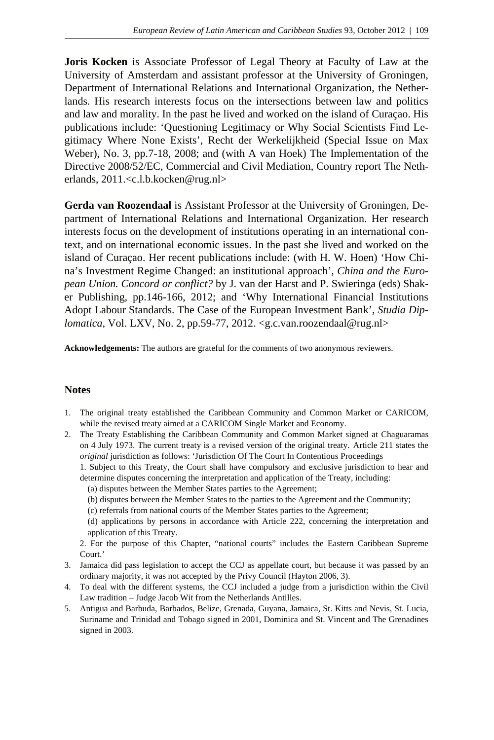**Joris Kocken** is Associate Professor of Legal Theory at Faculty of Law at the University of Amsterdam and assistant professor at the University of Groningen, Department of International Relations and International Organization, the Netherlands. His research interests focus on the intersections between law and politics and law and morality. In the past he lived and worked on the island of Curaçao. His publications include: 'Questioning Legitimacy or Why Social Scientists Find Legitimacy Where None Exists', Recht der Werkelijkheid (Special Issue on Max Weber), No. 3, pp.7-18, 2008; and (with A van Hoek) The Implementation of the Directive 2008/52/EC, Commercial and Civil Mediation, Country report The Netherlands, 2011.<c.l.b.kocken@rug.nl>

**Gerda van Roozendaal** is Assistant Professor at the University of Groningen, Department of International Relations and International Organization. Her research interests focus on the development of institutions operating in an international context, and on international economic issues. In the past she lived and worked on the island of Curaçao. Her recent publications include: (with H. W. Hoen) 'How China's Investment Regime Changed: an institutional approach', *China and the European Union. Concord or conflict?* by J. van der Harst and P. Swieringa (eds) Shaker Publishing, pp.146-166, 2012; and 'Why International Financial Institutions Adopt Labour Standards. The Case of the European Investment Bank', *Studia Diplomatica*, Vol. LXV, No. 2, pp.59-77, 2012. <g.c.van.roozendaal@rug.nl>

**Acknowledgements:** The authors are grateful for the comments of two anonymous reviewers.

## **Notes**

- 1. The original treaty established the Caribbean Community and Common Market or CARICOM, while the revised treaty aimed at a CARICOM Single Market and Economy.
- 2. The Treaty Establishing the Caribbean Community and Common Market signed at Chaguaramas on 4 July 1973. The current treaty is a revised version of the original treaty. Article 211 states the *original jurisdiction as follows:* 'Jurisdiction Of The Court In Contentious Proceedings

 1. Subject to this Treaty, the Court shall have compulsory and exclusive jurisdiction to hear and determine disputes concerning the interpretation and application of the Treaty, including:

(a) disputes between the Member States parties to the Agreement;

- (b) disputes between the Member States to the parties to the Agreement and the Community;
- (c) referrals from national courts of the Member States parties to the Agreement;

 (d) applications by persons in accordance with Article 222, concerning the interpretation and application of this Treaty.

 2. For the purpose of this Chapter, "national courts" includes the Eastern Caribbean Supreme Court.'

- 3. Jamaica did pass legislation to accept the CCJ as appellate court, but because it was passed by an ordinary majority, it was not accepted by the Privy Council (Hayton 2006, 3).
- 4. To deal with the different systems, the CCJ included a judge from a jurisdiction within the Civil Law tradition – Judge Jacob Wit from the Netherlands Antilles.
- 5. Antigua and Barbuda, Barbados, Belize, Grenada, Guyana, Jamaica, St. Kitts and Nevis, St. Lucia, Suriname and Trinidad and Tobago signed in 2001, Dominica and St. Vincent and The Grenadines signed in 2003.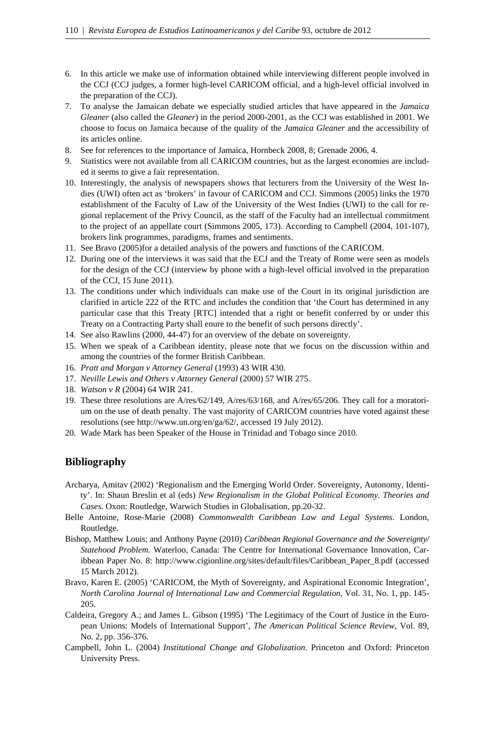- 6. In this article we make use of information obtained while interviewing different people involved in the CCJ (CCJ judges, a former high-level CARICOM official, and a high-level official involved in the preparation of the CCJ).
- 7. To analyse the Jamaican debate we especially studied articles that have appeared in the *Jamaica Gleaner* (also called the *Gleaner*) in the period 2000-2001, as the CCJ was established in 2001. We choose to focus on Jamaica because of the quality of the *Jamaica Gleaner* and the accessibility of its articles online.
- 8. See for references to the importance of Jamaica, Hornbeck 2008, 8; Grenade 2006, 4.
- 9. Statistics were not available from all CARICOM countries, but as the largest economies are included it seems to give a fair representation.
- 10. Interestingly, the analysis of newspapers shows that lecturers from the University of the West Indies (UWI) often act as 'brokers' in favour of CARICOM and CCJ. Simmons (2005) links the 1970 establishment of the Faculty of Law of the University of the West Indies (UWI) to the call for regional replacement of the Privy Council, as the staff of the Faculty had an intellectual commitment to the project of an appellate court (Simmons 2005, 173). According to Campbell (2004, 101-107), brokers link programmes, paradigms, frames and sentiments.
- 11. See Bravo (2005)for a detailed analysis of the powers and functions of the CARICOM.
- 12. During one of the interviews it was said that the ECJ and the Treaty of Rome were seen as models for the design of the CCJ (interview by phone with a high-level official involved in the preparation of the CCJ, 15 June 2011).
- 13. The conditions under which individuals can make use of the Court in its original jurisdiction are clarified in article 222 of the RTC and includes the condition that 'the Court has determined in any particular case that this Treaty [RTC] intended that a right or benefit conferred by or under this Treaty on a Contracting Party shall enure to the benefit of such persons directly'.
- 14. See also Rawlins (2000, 44-47) for an overview of the debate on sovereignty.
- 15. When we speak of a Caribbean identity, please note that we focus on the discussion within and among the countries of the former British Caribbean.
- 16. *Pratt and Morgan v Attorney General* (1993) 43 WIR 430.
- 17. *Neville Lewis and Others v Attorney General* (2000) 57 WIR 275.
- 18. *Watson v R* (2004) 64 WIR 241.
- 19. These three resolutions are A/res/62/149, A/res/63/168, and A/res/65/206. They call for a moratorium on the use of death penalty. The vast majority of CARICOM countries have voted against these resolutions (see http://www.un.org/en/ga/62/, accessed 19 July 2012).
- 20. Wade Mark has been Speaker of the House in Trinidad and Tobago since 2010.

### **Bibliography**

- Archarya, Amitav (2002) 'Regionalism and the Emerging World Order. Sovereignty, Autonomy, Identity'. In: Shaun Breslin et al (eds) *New Regionalism in the Global Political Economy. Theories and Cases.* Oxon: Routledge, Warwich Studies in Globalisation, pp.20-32.
- Belle Antoine, Rose-Marie (2008) *Commonwealth Caribbean Law and Legal Systems*. London, Routledge.
- Bishop, Matthew Louis; and Anthony Payne (2010) *Caribbean Regional Governance and the Sovereignty/ Statehood Problem.* Waterloo, Canada: The Centre for International Governance Innovation, Caribbean Paper No. 8: http://www.cigionline.org/sites/default/files/Caribbean\_Paper\_8.pdf (accessed 15 March 2012).
- Bravo, Karen E. (2005) 'CARICOM, the Myth of Sovereignty, and Aspirational Economic Integration', *North Carolina Journal of International Law and Commercial Regulation*, Vol. 31, No. 1, pp. 145- 205.
- Caldeira, Gregory A.; and James L. Gibson (1995) 'The Legitimacy of the Court of Justice in the European Unions: Models of International Support', *The American Political Science Review*, Vol. 89, No. 2, pp. 356-376.
- Campbell, John L. (2004) *Institutional Change and Globalization*. Princeton and Oxford: Princeton University Press.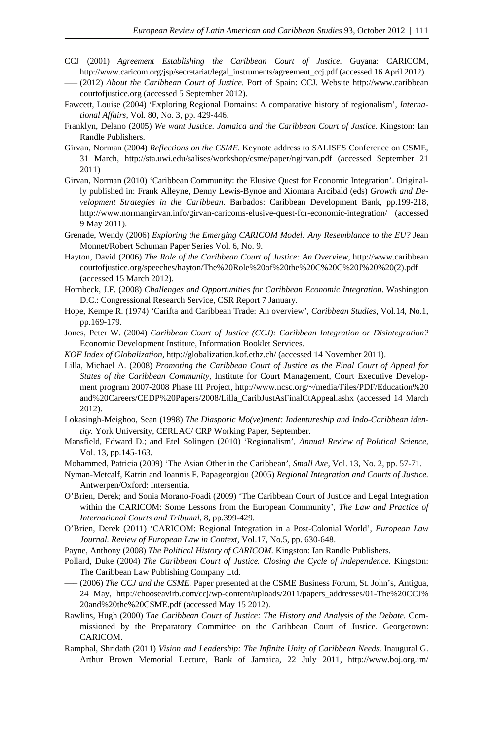- CCJ (2001) *Agreement Establishing the Caribbean Court of Justice.* Guyana: CARICOM, http://www.caricom.org/jsp/secretariat/legal\_instruments/agreement\_ccj.pdf (accessed 16 April 2012).
- ––– (2012) *About the Caribbean Court of Justice.* Port of Spain: CCJ. Website http://www.caribbean courtofjustice.org (accessed 5 September 2012).
- Fawcett, Louise (2004) 'Exploring Regional Domains: A comparative history of regionalism', *International Affairs,* Vol. 80, No. 3, pp. 429-446.
- Franklyn, Delano (2005) *We want Justice. Jamaica and the Caribbean Court of Justice*. Kingston: Ian Randle Publishers.
- Girvan, Norman (2004) *Reflections on the CSME*. Keynote address to SALISES Conference on CSME, 31 March, http://sta.uwi.edu/salises/workshop/csme/paper/ngirvan.pdf (accessed September 21 2011)
- Girvan, Norman (2010) 'Caribbean Community: the Elusive Quest for Economic Integration'. Originally published in: Frank Alleyne, Denny Lewis-Bynoe and Xiomara Arcibald (eds) *Growth and Development Strategies in the Caribbean*. Barbados: Caribbean Development Bank, pp.199-218, http://www.normangirvan.info/girvan-caricoms-elusive-quest-for-economic-integration/ (accessed 9 May 2011).
- Grenade, Wendy (2006) *Exploring the Emerging CARICOM Model: Any Resemblance to the EU?* Jean Monnet/Robert Schuman Paper Series Vol. 6, No. 9.
- Hayton, David (2006) *The Role of the Caribbean Court of Justice: An Overview,* http://www.caribbean courtofjustice.org/speeches/hayton/The%20Role%20of%20the%20C%20C%20J%20%20(2).pdf (accessed 15 March 2012).
- Hornbeck, J.F. (2008) *Challenges and Opportunities for Caribbean Economic Integration.* Washington D.C.: Congressional Research Service, CSR Report 7 January.
- Hope, Kempe R. (1974) 'Carifta and Caribbean Trade: An overview', *Caribbean Studies*, Vol.14, No.1, pp.169-179.
- Jones, Peter W. (2004) *Caribbean Court of Justice (CCJ): Caribbean Integration or Disintegration?*  Economic Development Institute, Information Booklet Services.
- *KOF Index of Globalization*, http://globalization.kof.ethz.ch/ (accessed 14 November 2011).
- Lilla, Michael A. (2008) *Promoting the Caribbean Court of Justice as the Final Court of Appeal for States of the Caribbean Community,* Institute for Court Management, Court Executive Development program 2007-2008 Phase III Project, http://www.ncsc.org/~/media/Files/PDF/Education%20 and%20Careers/CEDP%20Papers/2008/Lilla\_CaribJustAsFinalCtAppeal.ashx (accessed 14 March 2012).
- Lokasingh-Meighoo, Sean (1998) *The Diasporic Mo(ve)ment: Indentureship and Indo-Caribbean identity.* York University, CERLAC/ CRP Working Paper, September.
- Mansfield, Edward D.; and Etel Solingen (2010) 'Regionalism', *Annual Review of Political Science,* Vol. 13, pp.145-163.
- Mohammed, Patricia (2009) 'The Asian Other in the Caribbean', *Small Axe,* Vol. 13, No. 2, pp. 57-71.
- Nyman-Metcalf, Katrin and Ioannis F. Papageorgiou (2005) *Regional Integration and Courts of Justice.* Antwerpen/Oxford: Intersentia.
- O'Brien, Derek; and Sonia Morano-Foadi (2009) 'The Caribbean Court of Justice and Legal Integration within the CARICOM: Some Lessons from the European Community', *The Law and Practice of International Courts and Tribunal*, 8, pp.399-429.
- O'Brien, Derek (2011) 'CARICOM: Regional Integration in a Post-Colonial World', *European Law Journal. Review of European Law in Context,* Vol.17, No.5, pp. 630-648.
- Payne, Anthony (2008) *The Political History of CARICOM.* Kingston: Ian Randle Publishers.
- Pollard, Duke (2004) *The Caribbean Court of Justice. Closing the Cycle of Independence.* Kingston: The Caribbean Law Publishing Company Ltd.
- ––– (2006) *The CCJ and the CSME.* Paper presented at the CSME Business Forum, St. John's, Antigua, 24 May, http://chooseavirb.com/ccj/wp-content/uploads/2011/papers\_addresses/01-The%20CCJ% 20and%20the%20CSME.pdf (accessed May 15 2012).
- Rawlins, Hugh (2000) *The Caribbean Court of Justice: The History and Analysis of the Debate.* Commissioned by the Preparatory Committee on the Caribbean Court of Justice. Georgetown: CARICOM.
- Ramphal, Shridath (2011) *Vision and Leadership: The Infinite Unity of Caribbean Needs.* Inaugural G. Arthur Brown Memorial Lecture, Bank of Jamaica, 22 July 2011, http://www.boj.org.jm/